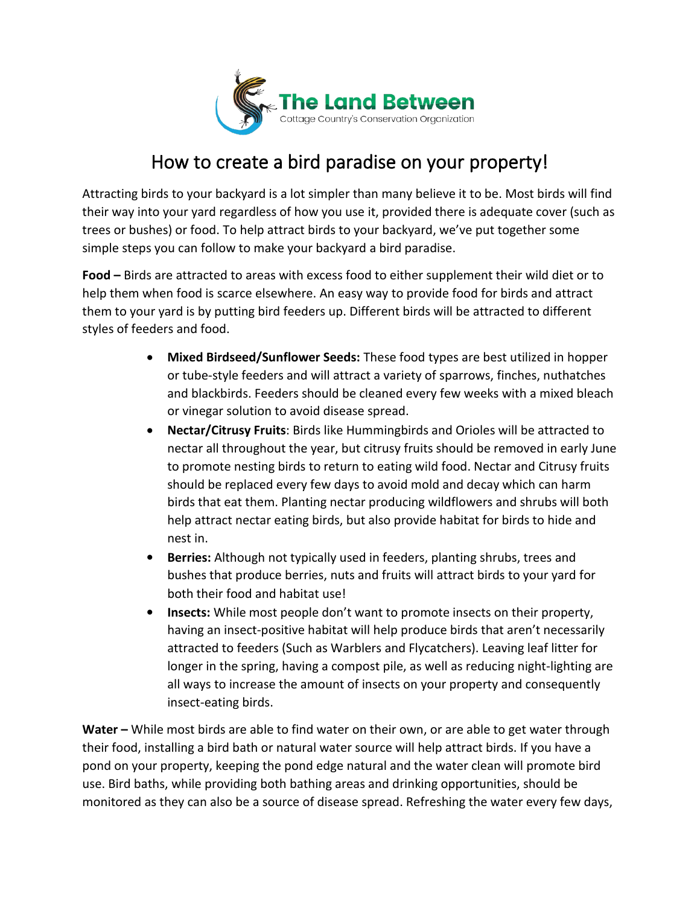

## How to create a bird paradise on your property!

Attracting birds to your backyard is a lot simpler than many believe it to be. Most birds will find their way into your yard regardless of how you use it, provided there is adequate cover (such as trees or bushes) or food. To help attract birds to your backyard, we've put together some simple steps you can follow to make your backyard a bird paradise.

**Food –**Birds are attracted to areas with excess food to either supplement their wild diet or to help them when food is scarce elsewhere. An easy way to provide food for birds and attract them to your yardis by putting bird feeders up. Different birds will be attracted to different styles of feeders and food.

- **Mixed Birdseed/Sunflower Seeds:** These food types are best utilized in hopper or tube-style feeders and will attract a variety of sparrows, finches, nuthatches and blackbirds. Feeders should be cleaned every few weeks with a mixed bleach or vinegar solution to avoid disease spread.
- **Nectar/Citrusy Fruits**: Birds like Hummingbirds and Orioles will be attracted to nectar all throughout the year, but citrusy fruits should be removed in early June to promote nesting birds to return to eating wild food. Nectar and Citrusy fruits should be replaced every few days to avoid mold and decay which can harm birds that eat them. Planting nectar producing wildflowers and shrubs will both help attract nectar eating birds, but also provide habitat for birds to hide and nest in.
- **Berries:** Although not typically used in feeders, planting shrubs, trees and bushes that produce berries, nuts and fruits will attract birds to your yard for both their food and habitat use!
- **Insects:** While most people don't want to promote insects on their property, having an insect-positive habitat will help produce birds that aren't necessarily attracted to feeders (Such as Warblers and Flycatchers). Leaving leaf litter for longer in the spring, having a compost pile, as well as reducing night-lighting are all ways to increase the amount of insects on your property and consequently insect-eating birds.

**Water –** While most birds are able to find water on their own, or are able to get water through their food, installing a bird bath or natural water source will help attract birds. If you have a pond on your property, keeping the pond edge natural and the water clean will promote bird use. Bird baths, while providing both bathing areas and drinking opportunities, should be monitored as they can also be a source of disease spread. Refreshing the water every few days,